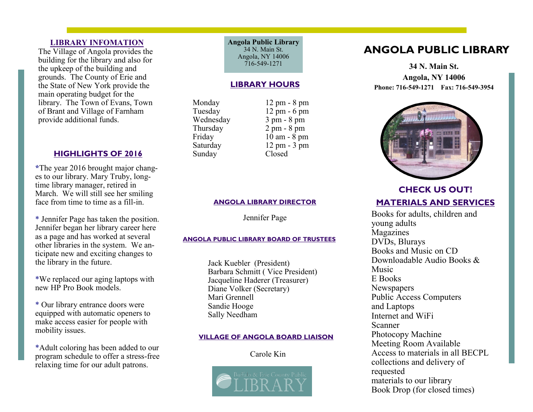### **LIBRARY INFOMATION**

The Village of Angola provides the building for the library and also for the upkeep of the building and grounds. The County of Erie and the State of New York provide the main operating budget for the library. The Town of Evans, Town of Brant and Village of Farnham provide additional funds.

### **HIGHLIGHTS OF 2016**

**\***The year 2016 brought major changes to our library. Mary Truby, longtime library manager, retired in March. We will still see her smiling face from time to time as a fill-in.

- \* Jennifer Page has taken the position. Jennifer began her library career here as a page and has worked at several other libraries in the system. We anticipate new and exciting changes to the library in the future.
- \*We replaced our aging laptops with new HP Pro Book models.
- \* Our library entrance doors were equipped with automatic openers to make access easier for people with mobility issues.
- \*Adult coloring has been added to our program schedule to offer a stress-free relaxing time for our adult patrons.

**Angola Public Library** 34 N. Main St. Angola, NY 14006 716-549-1271

### **LIBRARY HOURS**

- Monday 12 pm 8 pm Tuesday 12 pm - 6 pm Wednesday 3 pm - 8 pm Thursday 2 pm - 8 pm Friday 10 am - 8 pm Saturday 12 pm - 3 pm Sunday Closed
	-

#### **ANGOLA LIBRARY DIRECTOR**

Jennifer Page

### **ANGOLA PUBLIC LIBRARY BOARD OF TRUSTEES**

Jack Kuebler (President) Barbara Schmitt ( Vice President) Jacqueline Haderer (Treasurer) Diane Volker (Secretary) Mari Grennell Sandie Hooge Sally Needham

### **VILLAGE OF ANGOLA BOARD LIAISON**

Carole Kin



# **ANGOLA PUBLIC LIBRARY**

**34 N. Main St. Angola, NY 14006 Phone: 716-549-1271 Fax: 716-549-3954**



## **CHECK US OUT! MATERIALS AND SERVICES**

Books for adults, children and young adults Magazines DVDs, Blurays Books and Music on CD Downloadable Audio Books & Music E Books Newspapers Public Access Computers and Laptops Internet and WiFi Scanner Photocopy Machine Meeting Room Available Access to materials in all BECPL collections and delivery of requested materials to our library Book Drop (for closed times)